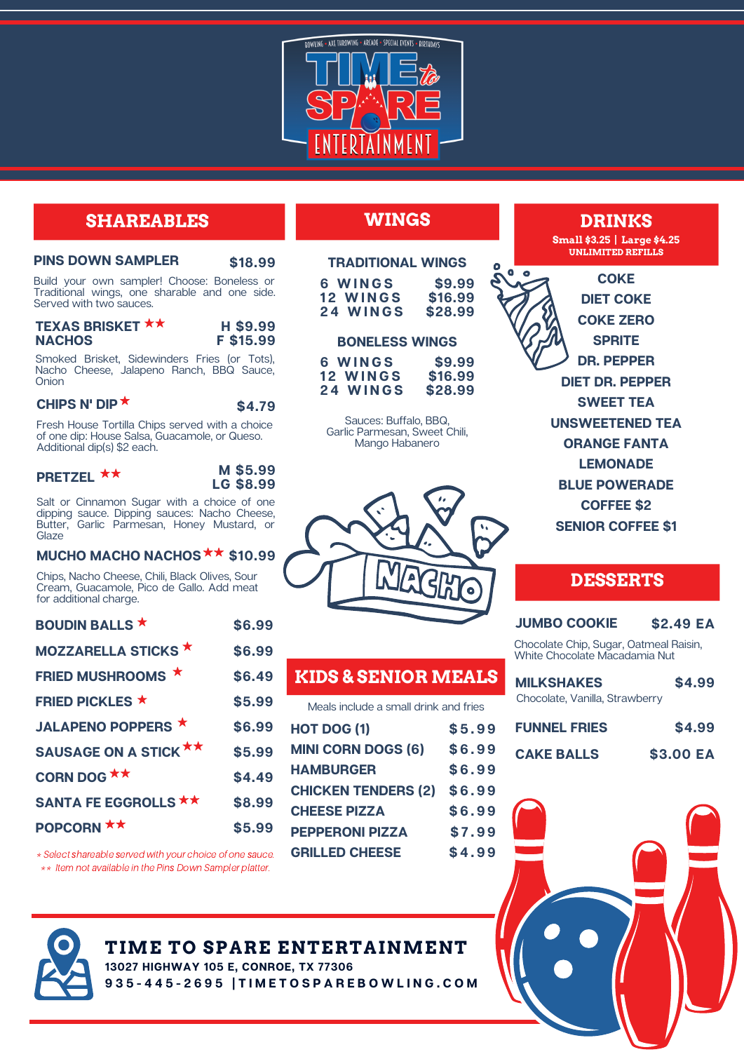

## **SHAREABLES**

| <b>PINS DOWN SAMPLER</b> | \$18.99 |
|--------------------------|---------|
|--------------------------|---------|

Build your own sampler! Choose: Boneless or Traditional wings, one sharable and one side. Served with two sauces.

| <b>TEXAS BRISKET ★★</b> | H \$9.99  |
|-------------------------|-----------|
| <b>NACHOS</b>           | F \$15.99 |

Smoked Brisket, Sidewinders Fries (or Tots), Nacho Cheese, Jalapeno Ranch, BBQ Sauce, Onion

**\$4.79**

#### **CHIPS N' DIP**

Fresh House Tortilla Chips served with a choice of one dip: House Salsa, Guacamole, or Queso. Additional dip(s) \$2 each.

| PRETZEL ** |  | M \$5.99  |
|------------|--|-----------|
|            |  | LG \$8.99 |

Salt or Cinnamon Sugar with a choice of one dipping sauce. Dipping sauces: Nacho Cheese, Butter, Garlic Parmesan, Honey Mustard, or **Glaze** 

## **MUCHO MACHO NACHOS \$10.99**

Chips, Nacho Cheese, Chili, Black Olives, Sour Cream, Guacamole, Pico de Gallo. Add meat for additional charge.

| <b>BOUDIN BALLS</b> ★       | \$6.99 |
|-----------------------------|--------|
| <b>MOZZARELLA STICKS ★</b>  | \$6.99 |
| FRIED MUSHROOMS *           | \$6.49 |
| <b>FRIED PICKLES ★</b>      | \$5.99 |
| <b>JALAPENO POPPERS ★</b>   | \$6.99 |
| SAUSAGE ON A STICK **       | \$5.99 |
| CORN DOG $\star\star$       | \$4.49 |
| <b>SANTA FE EGGROLLS **</b> | \$8.99 |
| POPCORN **                  | \$5.99 |

\* Select shareable served with your choice of one sauce. \*\* Item not available in the Pins Down Sampler platter.

# **WINGS**

| <b>TRADITIONAL WINGS</b> |         |
|--------------------------|---------|
| 6 WINGS                  | \$9.99  |
| 12 WINGS                 | \$16.99 |
| 24 WINGS                 | \$28.99 |

| <b>BONELESS WINGS</b> |  |
|-----------------------|--|
|                       |  |

| 6 WINGS  | \$9.99  |
|----------|---------|
| 12 WINGS | \$16.99 |
| 24 WINGS | \$28.99 |

Sauces: Buffalo, BBQ, Garlic Parmesan, Sweet Chili, Mango Habanero



## **KIDS & SENIOR MEALS**

Meals include a small drink and fries

| HOT DOG (1)                | \$5.99 |
|----------------------------|--------|
| <b>MINI CORN DOGS (6)</b>  | \$6.99 |
| <b>HAMBURGER</b>           | \$6.99 |
| <b>CHICKEN TENDERS (2)</b> | \$6.99 |
| <b>CHEESE PIZZA</b>        | \$6.99 |
| <b>PEPPERONI PIZZA</b>     | \$7.99 |
| <b>GRILLED CHEESE</b>      | \$4.99 |
|                            |        |

**DRINKS**

**Small \$3.25 | Large \$4.25 UNLIMITED REFILLS**

**COKE DIET COKE COKE ZERO SPRITE DR. PEPPER DIET DR. PEPPER SWEET TEA UNSWEETENED TEA ORANGE FANTA LEMONADE BLUE POWERADE COFFEE \$2 SENIOR COFFEE \$1**

## **DESSERTS**

## **JUMBO COOKIE \$2.49 EA**

Chocolate Chip, Sugar, Oatmeal Raisin, White Chocolate Macadamia Nut

| <b>MILKSHAKES</b>              | \$4.99 |
|--------------------------------|--------|
| Chocolate, Vanilla, Strawberry |        |

| <b>FUNNEL FRIES</b> | \$4.99    |
|---------------------|-----------|
| <b>CAKE BALLS</b>   | \$3.00 EA |



**TIME TO SPARE ENTERTAINMENT 13027 HIGHWAY 105 E, CONROE, TX 77306**

935-445-2695 | TIMETOSPAREBOWLING.COM